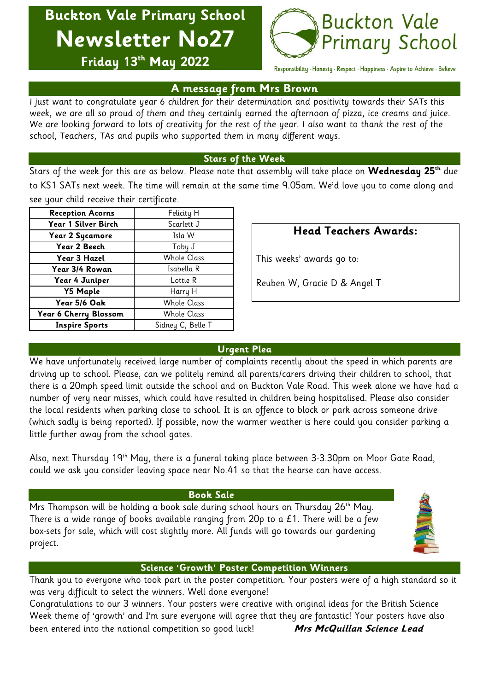# **Buckton Vale Primary School Newsletter No27**



**Friday 13th May 2022**

Responsibility · Honesty · Respect · Happiness · Aspire to Achieve · Believe

### **A message from Mrs Brown**

I just want to congratulate year 6 children for their determination and positivity towards their SATs this week, we are all so proud of them and they certainly earned the afternoon of pizza, ice creams and juice. We are looking forward to lots of creativity for the rest of the year. I also want to thank the rest of the school, Teachers, TAs and pupils who supported them in many different ways.

#### **Stars of the Week**

Stars of the week for this are as below. Please note that assembly will take place on **Wednesday 25th** due to KS1 SATs next week. The time will remain at the same time 9.05am. We'd love you to come along and see your child receive their certificate.

| <b>Reception Acorns</b> | Felicity H         |  |
|-------------------------|--------------------|--|
| Year 1 Silver Birch     | Scarlett J         |  |
| <b>Year 2 Sycamore</b>  | Isla W             |  |
| Year 2 Beech            | Toby J             |  |
| Year 3 Hazel            | <b>Whole Class</b> |  |
| Year 3/4 Rowan          | Isabella R         |  |
| Year 4 Juniper          | Lottie R           |  |
| <b>Y5 Maple</b>         | Harry H            |  |
| Year 5/6 Oak            | <b>Whole Class</b> |  |
| Year 6 Cherry Blossom   | <b>Whole Class</b> |  |
| <b>Inspire Sports</b>   | Sidney C, Belle T  |  |

# **Head Teachers Awards:**

This weeks' awards go to:

Reuben W, Gracie D & Angel T

## **Urgent Plea**

We have unfortunately received large number of complaints recently about the speed in which parents are driving up to school. Please, can we politely remind all parents/carers driving their children to school, that there is a 20mph speed limit outside the school and on Buckton Vale Road. This week alone we have had a number of very near misses, which could have resulted in children being hospitalised. Please also consider the local residents when parking close to school. It is an offence to block or park across someone drive (which sadly is being reported). If possible, now the warmer weather is here could you consider parking a little further away from the school gates.

Also, next Thursday 19th May, there is a funeral taking place between 3-3.30pm on Moor Gate Road, could we ask you consider leaving space near No.41 so that the hearse can have access.

#### **Book Sale**

Mrs Thompson will be holding a book sale during school hours on Thursday 26<sup>th</sup> May. There is a wide range of books available ranging from 20p to a  $E1$ . There will be a few box-sets for sale, which will cost slightly more. All funds will go towards our gardening project.



### **Science 'Growth' Poster Competition Winners**

Thank you to everyone who took part in the poster competition. Your posters were of a high standard so it was very difficult to select the winners. Well done everyone!

Congratulations to our 3 winners. Your posters were creative with original ideas for the British Science Week theme of 'growth' and I'm sure everyone will agree that they are fantastic! Your posters have also been entered into the national competition so good luck! **Mrs McQuillan Science Lead**